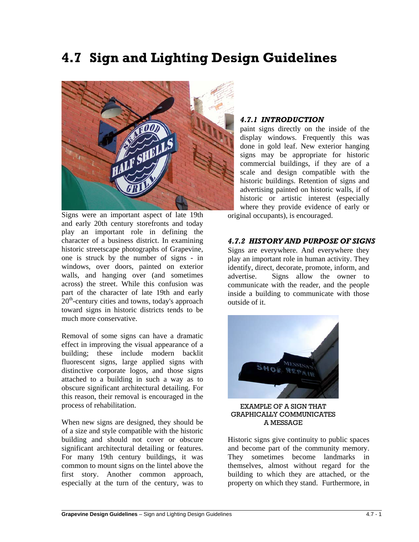# **4.7 Sign and Lighting Design Guidelines**



Signs were an important aspect of late 19th and early 20th century storefronts and today play an important role in defining the character of a business district. In examining historic streetscape photographs of Grapevine, one is struck by the number of signs - in windows, over doors, painted on exterior walls, and hanging over (and sometimes across) the street. While this confusion was part of the character of late 19th and early  $20<sup>th</sup>$ -century cities and towns, today's approach toward signs in historic districts tends to be much more conservative.

Removal of some signs can have a dramatic effect in improving the visual appearance of a building; these include modern backlit fluorescent signs, large applied signs with distinctive corporate logos, and those signs attached to a building in such a way as to obscure significant architectural detailing. For this reason, their removal is encouraged in the process of rehabilitation.

When new signs are designed, they should be of a size and style compatible with the historic building and should not cover or obscure significant architectural detailing or features. For many 19th century buildings, it was common to mount signs on the lintel above the first story. Another common approach, especially at the turn of the century, was to

 $\overline{a}$ 

#### *4.7.1 INTRODUCTION*

paint signs directly on the inside of the display windows. Frequently this was done in gold leaf. New exterior hanging signs may be appropriate for historic commercial buildings, if they are of a scale and design compatible with the historic buildings. Retention of signs and advertising painted on historic walls, if of historic or artistic interest (especially where they provide evidence of early or original occupants), is encouraged.

#### *4.7.2 HISTORY AND PURPOSE OF SIGNS*

Signs are everywhere. And everywhere they play an important role in human activity. They identify, direct, decorate, promote, inform, and advertise. Signs allow the owner to communicate with the reader, and the people inside a building to communicate with those outside of it.



EXAMPLE OF A SIGN THAT GRAPHICALLY COMMUNICATES A MESSAGE

Historic signs give continuity to public spaces and become part of the community memory. They sometimes become landmarks in themselves, almost without regard for the building to which they are attached, or the property on which they stand. Furthermore, in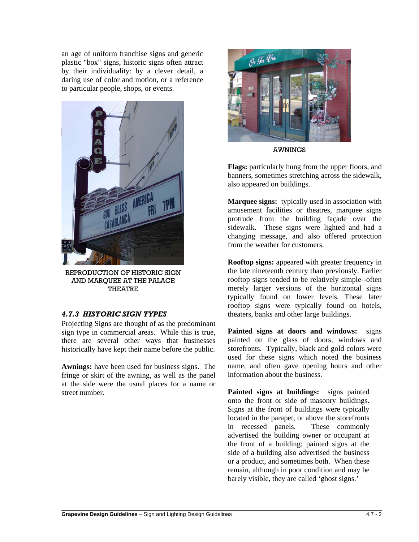an age of uniform franchise signs and generic plastic "box" signs, historic signs often attract by their individuality: by a clever detail, a daring use of color and motion, or a reference to particular people, shops, or events.



REPRODUCTION OF HISTORIC SIGN AND MARQUEE AT THE PALACE THEATRE

## *4.7.3 HISTORIC SIGN TYPES*

Projecting Signs are thought of as the predominant sign type in commercial areas. While this is true, there are several other ways that businesses historically have kept their name before the public.

**Awnings:** have been used for business signs. The fringe or skirt of the awning, as well as the panel at the side were the usual places for a name or street number.



AWNINGS

**Flags:** particularly hung from the upper floors, and banners, sometimes stretching across the sidewalk, also appeared on buildings.

**Marquee signs:** typically used in association with amusement facilities or theatres, marquee signs protrude from the building façade over the sidewalk. These signs were lighted and had a changing message, and also offered protection from the weather for customers.

**Rooftop signs:** appeared with greater frequency in the late nineteenth century than previously. Earlier rooftop signs tended to be relatively simple--often merely larger versions of the horizontal signs typically found on lower levels. These later rooftop signs were typically found on hotels, theaters, banks and other large buildings.

**Painted signs at doors and windows:** signs painted on the glass of doors, windows and storefronts. Typically, black and gold colors were used for these signs which noted the business name, and often gave opening hours and other information about the business.

**Painted signs at buildings:** signs painted onto the front or side of masonry buildings. Signs at the front of buildings were typically located in the parapet, or above the storefronts in recessed panels. These commonly advertised the building owner or occupant at the front of a building; painted signs at the side of a building also advertised the business or a product, and sometimes both. When these remain, although in poor condition and may be barely visible, they are called 'ghost signs.'

 $\overline{a}$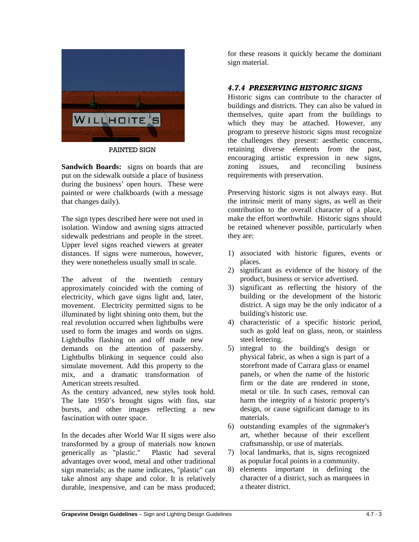

PAINTED SIGN

**Sandwich Boards:** signs on boards that are put on the sidewalk outside a place of business during the business' open hours. These were painted or were chalkboards (with a message that changes daily).

The sign types described here were not used in isolation. Window and awning signs attracted sidewalk pedestrians and people in the street. Upper level signs reached viewers at greater distances. If signs were numerous, however, they were nonetheless usually small in scale.

The advent of the twentieth century approximately coincided with the coming of electricity, which gave signs light and, later, movement. Electricity permitted signs to be illuminated by light shining onto them, but the real revolution occurred when lightbulbs were used to form the images and words on signs. Lightbulbs flashing on and off made new demands on the attention of passersby. Lightbulbs blinking in sequence could also simulate movement. Add this property to the mix, and a dramatic transformation of American streets resulted.

As the century advanced, new styles took hold. The late 1950's brought signs with fins, star bursts, and other images reflecting a new fascination with outer space.

In the decades after World War II signs were also transformed by a group of materials now known generically as "plastic." Plastic had several advantages over wood, metal and other traditional sign materials; as the name indicates, "plastic" can take almost any shape and color. It is relatively durable, inexpensive, and can be mass produced; for these reasons it quickly became the dominant sign material.

# *4.7.4 PRESERVING HISTORIC SIGNS*

Historic signs can contribute to the character of buildings and districts. They can also be valued in themselves, quite apart from the buildings to which they may be attached. However, any program to preserve historic signs must recognize the challenges they present: aesthetic concerns, retaining diverse elements from the past, encouraging artistic expression in new signs, zoning issues, and reconciling business requirements with preservation.

Preserving historic signs is not always easy. But the intrinsic merit of many signs, as well as their contribution to the overall character of a place, make the effort worthwhile. Historic signs should be retained whenever possible, particularly when they are:

- 1) associated with historic figures, events or places.
- 2) significant as evidence of the history of the product, business or service advertised.
- 3) significant as reflecting the history of the building or the development of the historic district. A sign may be the only indicator of a building's historic use.
- 4) characteristic of a specific historic period, such as gold leaf on glass, neon, or stainless steel lettering.
- 5) integral to the building's design or physical fabric, as when a sign is part of a storefront made of Carrara glass or enamel panels, or when the name of the historic firm or the date are rendered in stone, metal or tile. In such cases, removal can harm the integrity of a historic property's design, or cause significant damage to its materials.
- 6) outstanding examples of the signmaker's art, whether because of their excellent craftsmanship, or use of materials.
- 7) local landmarks, that is, signs recognized as popular focal points in a community.
- 8) elements important in defining the character of a district, such as marquees in a theater district.

 $\overline{a}$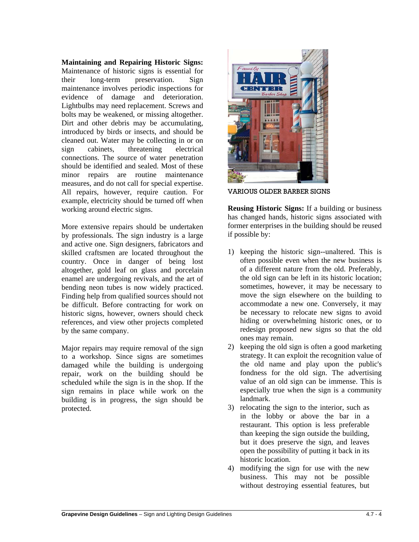**Maintaining and Repairing Historic Signs:** Maintenance of historic signs is essential for their long-term preservation. Sign maintenance involves periodic inspections for evidence of damage and deterioration. Lightbulbs may need replacement. Screws and bolts may be weakened, or missing altogether. Dirt and other debris may be accumulating, introduced by birds or insects, and should be cleaned out. Water may be collecting in or on sign cabinets, threatening electrical connections. The source of water penetration should be identified and sealed. Most of these minor repairs are routine maintenance measures, and do not call for special expertise. All repairs, however, require caution. For example, electricity should be turned off when working around electric signs.

More extensive repairs should be undertaken by professionals. The sign industry is a large and active one. Sign designers, fabricators and skilled craftsmen are located throughout the country. Once in danger of being lost altogether, gold leaf on glass and porcelain enamel are undergoing revivals, and the art of bending neon tubes is now widely practiced. Finding help from qualified sources should not be difficult. Before contracting for work on historic signs, however, owners should check references, and view other projects completed by the same company.

Major repairs may require removal of the sign to a workshop. Since signs are sometimes damaged while the building is undergoing repair, work on the building should be scheduled while the sign is in the shop. If the sign remains in place while work on the building is in progress, the sign should be protected.



VARIOUS OLDER BARBER SIGNS

**Reusing Historic Signs:** If a building or business has changed hands, historic signs associated with former enterprises in the building should be reused if possible by:

- 1) keeping the historic sign--unaltered. This is often possible even when the new business is of a different nature from the old. Preferably, the old sign can be left in its historic location; sometimes, however, it may be necessary to move the sign elsewhere on the building to accommodate a new one. Conversely, it may be necessary to relocate new signs to avoid hiding or overwhelming historic ones, or to redesign proposed new signs so that the old ones may remain.
- 2) keeping the old sign is often a good marketing strategy. It can exploit the recognition value of the old name and play upon the public's fondness for the old sign. The advertising value of an old sign can be immense. This is especially true when the sign is a community landmark.
- 3) relocating the sign to the interior, such as in the lobby or above the bar in a restaurant. This option is less preferable than keeping the sign outside the building, but it does preserve the sign, and leaves open the possibility of putting it back in its historic location.
- 4) modifying the sign for use with the new business. This may not be possible without destroying essential features, but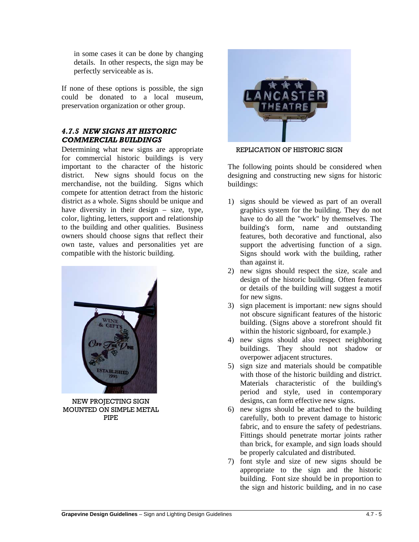in some cases it can be done by changing details. In other respects, the sign may be perfectly serviceable as is.

If none of these options is possible, the sign could be donated to a local museum, preservation organization or other group.

# *4.7.5 NEW SIGNS AT HISTORIC COMMERCIAL BUILDINGS*

Determining what new signs are appropriate for commercial historic buildings is very important to the character of the historic district. New signs should focus on the merchandise, not the building. Signs which compete for attention detract from the historic district as a whole. Signs should be unique and have diversity in their design – size, type, color, lighting, letters, support and relationship to the building and other qualities. Business owners should choose signs that reflect their own taste, values and personalities yet are compatible with the historic building.



NEW PROJECTING SIGN MOUNTED ON SIMPLE METAL PIPE

 $\overline{a}$ 



REPLICATION OF HISTORIC SIGN

The following points should be considered when designing and constructing new signs for historic buildings:

- 1) signs should be viewed as part of an overall graphics system for the building. They do not have to do all the "work" by themselves. The building's form, name and outstanding features, both decorative and functional, also support the advertising function of a sign. Signs should work with the building, rather than against it.
- 2) new signs should respect the size, scale and design of the historic building. Often features or details of the building will suggest a motif for new signs.
- 3) sign placement is important: new signs should not obscure significant features of the historic building. (Signs above a storefront should fit within the historic signboard, for example.)
- 4) new signs should also respect neighboring buildings. They should not shadow or overpower adjacent structures.
- 5) sign size and materials should be compatible with those of the historic building and district. Materials characteristic of the building's period and style, used in contemporary designs, can form effective new signs.
- 6) new signs should be attached to the building carefully, both to prevent damage to historic fabric, and to ensure the safety of pedestrians. Fittings should penetrate mortar joints rather than brick, for example, and sign loads should be properly calculated and distributed.
- 7) font style and size of new signs should be appropriate to the sign and the historic building. Font size should be in proportion to the sign and historic building, and in no case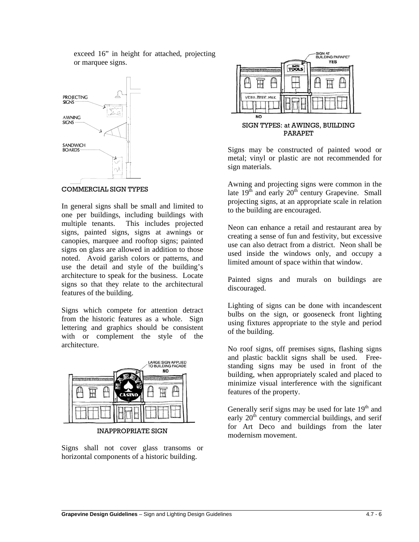exceed 16" in height for attached, projecting or marquee signs.



In general signs shall be small and limited to one per buildings, including buildings with multiple tenants. This includes projected signs, painted signs, signs at awnings or canopies, marquee and rooftop signs; painted signs on glass are allowed in addition to those noted. Avoid garish colors or patterns, and use the detail and style of the building's architecture to speak for the business. Locate signs so that they relate to the architectural features of the building.

Signs which compete for attention detract from the historic features as a whole. Sign lettering and graphics should be consistent with or complement the style of the architecture.



INAPPROPRIATE SIGN

Signs shall not cover glass transoms or horizontal components of a historic building.

 $\overline{a}$ 



PARAPET

Signs may be constructed of painted wood or metal; vinyl or plastic are not recommended for sign materials.

Awning and projecting signs were common in the late  $19<sup>th</sup>$  and early  $20<sup>th</sup>$  century Grapevine. Small projecting signs, at an appropriate scale in relation to the building are encouraged.

Neon can enhance a retail and restaurant area by creating a sense of fun and festivity, but excessive use can also detract from a district. Neon shall be used inside the windows only, and occupy a limited amount of space within that window.

Painted signs and murals on buildings are discouraged.

Lighting of signs can be done with incandescent bulbs on the sign, or gooseneck front lighting using fixtures appropriate to the style and period of the building.

No roof signs, off premises signs, flashing signs and plastic backlit signs shall be used. Freestanding signs may be used in front of the building, when appropriately scaled and placed to minimize visual interference with the significant features of the property.

Generally serif signs may be used for late  $19<sup>th</sup>$  and early  $20<sup>th</sup>$  century commercial buildings, and serif for Art Deco and buildings from the later modernism movement.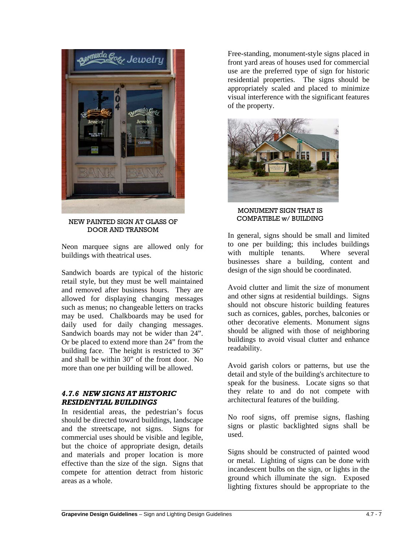

NEW PAINTED SIGN AT GLASS OF DOOR AND TRANSOM

Neon marquee signs are allowed only for buildings with theatrical uses.

Sandwich boards are typical of the historic retail style, but they must be well maintained and removed after business hours. They are allowed for displaying changing messages such as menus; no changeable letters on tracks may be used. Chalkboards may be used for daily used for daily changing messages. Sandwich boards may not be wider than 24". Or be placed to extend more than 24" from the building face. The height is restricted to 36" and shall be within 30" of the front door. No more than one per building will be allowed.

### *4.7.6 NEW SIGNS AT HISTORIC RESIDENTIAL BUILDINGS*

 $\overline{a}$ 

In residential areas, the pedestrian's focus should be directed toward buildings, landscape and the streetscape, not signs. Signs for commercial uses should be visible and legible, but the choice of appropriate design, details and materials and proper location is more effective than the size of the sign. Signs that compete for attention detract from historic areas as a whole.

Free-standing, monument-style signs placed in front yard areas of houses used for commercial use are the preferred type of sign for historic residential properties. The signs should be appropriately scaled and placed to minimize visual interference with the significant features of the property.



MONUMENT SIGN THAT IS COMPATIBLE w/ BUILDING

In general, signs should be small and limited to one per building; this includes buildings with multiple tenants. Where several businesses share a building, content and design of the sign should be coordinated.

Avoid clutter and limit the size of monument and other signs at residential buildings. Signs should not obscure historic building features such as cornices, gables, porches, balconies or other decorative elements. Monument signs should be aligned with those of neighboring buildings to avoid visual clutter and enhance readability.

Avoid garish colors or patterns, but use the detail and style of the building's architecture to speak for the business. Locate signs so that they relate to and do not compete with architectural features of the building.

No roof signs, off premise signs, flashing signs or plastic backlighted signs shall be used.

Signs should be constructed of painted wood or metal. Lighting of signs can be done with incandescent bulbs on the sign, or lights in the ground which illuminate the sign. Exposed lighting fixtures should be appropriate to the